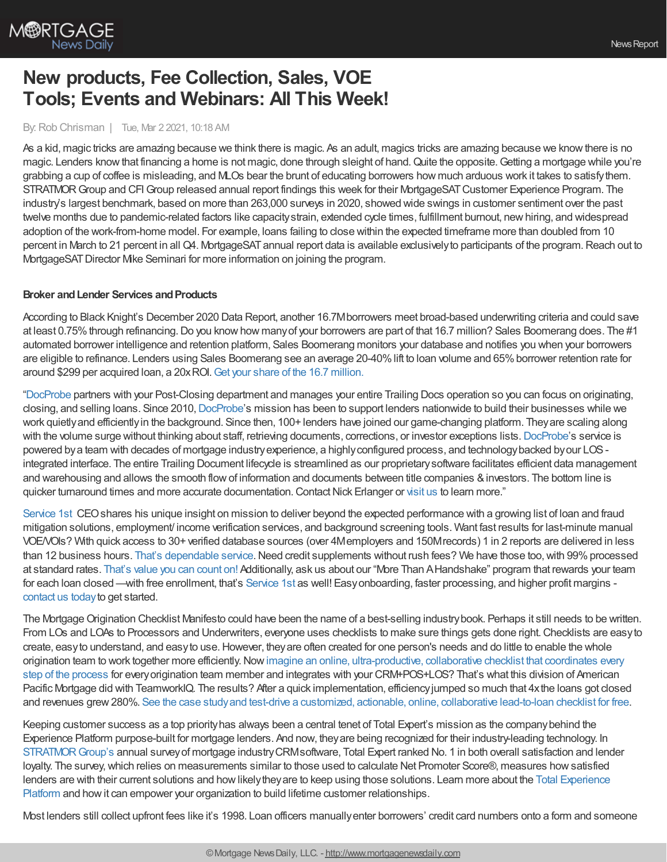

# **New products, Fee Collection, Sales, VOE Tools; Events and Webinars: All This Week!**

#### By:Rob Chrisman | Tue, Mar 2 2021, 10:18 AM

As a kid, magic tricks are amazing because we think there is magic. As an adult, magics tricks are amazing because we know there is no magic. Lenders know that financing a home is not magic, done through sleight of hand. Quite the opposite. Getting a mortgage while you're grabbing a cup of coffee is misleading, and MLOs bear the brunt of educating borrowers how much arduous work it takes to satisfythem. STRATMOR Group and CFI Group released annual report findings this week for their MortgageSAT Customer Experience Program. The industry's largest benchmark, based on more than 263,000 surveys in 2020, showed wide swings in customer sentiment over the past twelve months due to pandemic-related factors like capacitystrain, extended cycle times, fulfillment burnout, newhiring, and widespread adoption of the work-from-home model. For example, loans failing to close within the expected timeframe more than doubled from 10 percent in March to 21 percent in all Q4. MortgageSAT annual report data is available exclusively to participants of the program. Reach out to MortgageSATDirector Mike Seminari for more information on joining the program.

#### **Broker and Lender Services and Products**

According to Black Knight's December 2020 Data Report, another 16.7Mborrowers meet broad-based underwriting criteria and could save at least 0.75% through refinancing. Do you know how many of your borrowers are part of that 16.7 million? Sales Boomerang does. The #1 automated borrower intelligence and retention platform, Sales Boomerang monitors your database and notifies you when your borrowers are eligible to refinance. Lenders using Sales Boomerang see an average 20-40% lift to loan volume and 65% borrower retention rate for around \$299 per acquired loan, a 20xROI.Get your share of the 16.7 [million.](https://hubs.ly/H0HpVN10)

["DocProbe](https://bit.ly/3qbwqYh) partners with your Post-Closing department and manages your entire Trailing Docs operation so you can focus on originating, closing, and selling loans. Since 2010, [DocProbe'](https://bit.ly/3qbwqYh)s mission has been to support lenders nationwide to build their businesses while we work quietlyand efficientlyin the background. Since then, 100+ lenders have joined our game-changing platform. Theyare scaling along with the volume surge without thinking about staff, retrieving documents, corrections, or investor exceptions lists. [DocProbe](https://bit.ly/3qbwqYh)'s service is powered bya team with decades of mortgage industryexperience, a highlyconfigured process, and technologybacked byour LOSintegrated interface. The entire Trailing Document lifecycle is streamlined as our proprietarysoftware facilitates efficient data management and warehousing and allows the smooth flow of information and documents between title companies & investors. The bottom line is quicker turnaround times and more accurate documentation. Contact Nick Erlanger or [visit](https://bit.ly/3qbwqYh) us to learn more."

[Service](https://www.srv1st.com/single-post/what-attracted-me-to-service-1st) 1st CEO shares his unique insight on mission to deliver beyond the expected performance with a growing list of loan and fraud mitigation solutions, employment/ income verification services, and background screening tools. Want fast results for last-minute manual VOE/VOIs? With quick access to 30+ verified database sources (over 4Memployers and 150Mrecords) 1 in 2 reports are delivered in less than 12 business hours. That's [dependable](https://www.srv1st.com/about) service. Need credit supplements without rush fees? We have those too, with 99% processed at standard rates. [That's](https://a6ef3559-0851-4f8c-addd-5f4989b6eefb.usrfiles.com/ugd/a6ef35_12a3d12320a041cbae04789df535f0a3.pdf) value you can count on! Additionally, ask us about our "More Than AHandshake" program that rewards your team for each loan closed —with free enrollment, that's [Service](https://www.srv1st.com/) 1st as well! Easy onboarding, faster processing, and higher profit margins [contact](https://www.srv1st.com/request-for-info) us todayto get started.

The Mortgage Origination Checklist Manifesto could have been the name of a best-selling industry book. Perhaps it still needs to be written. From LOs and LOAs to Processors and Underwriters, everyone uses checklists to make sure things gets done right. Checklists are easy to create, easyto understand, and easyto use.However, theyare often created for one person's needs and do little to enable the whole origination team to work together more [efficiently.Nowimagine](https://teamworkiq.com/american-pacific-mortgage-case-study/?utm_campaign=mortgage&utm_source=robchrisman.com&utm_content=the-mortgage-checklist-manifesto-free-checklist) an online, ultra-productive, collaborative checklist that coordinates every step of the process for everyorigination team member and integrates with your CRM+POS+LOS? That's what this division of American Pacific Mortgage did with TeamworkIQ. The results? After a quick implementation, efficiencyjumped so much that 4xthe loans got closed and revenues grew280%. See the case studyand test-drive a customized, actionable, online, [collaborative](https://teamworkiq.com/american-pacific-mortgage-case-study/?utm_campaign=mortgage&utm_source=robchrisman.com&utm_content=the-mortgage-checklist-manifesto-free-checklist) lead-to-loan checklist for free.

Keeping customer success as a top priorityhas always been a central tenet of Total Expert's mission as the companybehind the Experience Platform purpose-built for mortgage lenders. And now, they are being recognized for their industry-leading technology. In [STRATMORGroup's](https://totalexpert.com/total-expert-ranked-no-1-in-the-industry-by-stratmor-group/?utm_campaign=CONT-TotalExpert-Mortgage-Momentum-02FY22&utm_source=chrisman&utm_medium=referral) annual surveyof mortgage industryCRMsoftware, Total Expert ranked No. 1 in both overall satisfaction and lender loyalty. The survey, which relies on measurements similar to those used to calculate Net Promoter Score®, measures how satisfied lenders are with their current solutions and how likely they are to keep using those solutions. Learn more about the Total Experience Platform and howit can empower your organization to build lifetime customer relationships.

Most lenders still collect upfront fees like it's 1998. Loan officers manuallyenter borrowers' credit card numbers onto a form and someone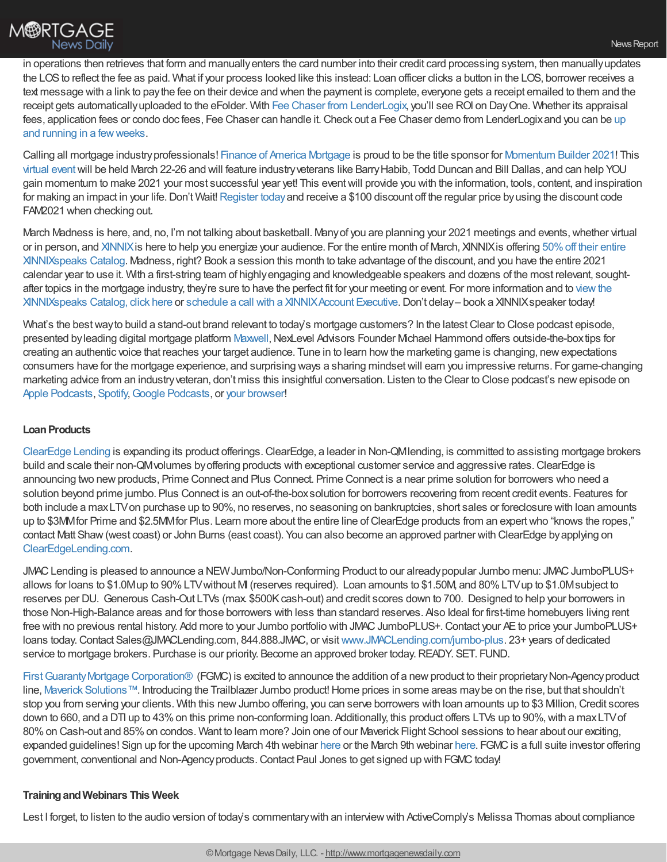in operations then retrieves that form and manuallyenters the card number into their credit card processing system, then manuallyupdates the LOS to reflect the fee as paid. What if your process looked like this instead: Loan officer clicks a button in the LOS, borrower receives a text message with a link to paythe fee on their device and when the payment is complete, everyone gets a receipt emailed to them and the receipt gets automaticallyuploaded to the eFolder. With Fee Chaser from [LenderLogix,](https://lenderlogix.com/fee-chaser?s=c20215) you'll see ROI on DayOne. Whether its appraisal fees, application fees or condo doc fees, Fee Chaser can handle it. Check out a Fee Chaser demo from LenderLogix and you can be up and running in a fewweeks.

Calling all mortgage industryprofessionals! Finance of America [Mortgage](https://foamortgage.com/) is proud to be the title sponsor for [Momentum](https://momentumbuilderevent.com/) Builder 2021! This [virtual](https://drive.google.com/file/d/1KEJwqptd7gF6oOyw0scE9jZC4ipjSq4H/view) eventwill be held March 22-26 and will feature industryveterans like BarryHabib, Todd Duncan and Bill Dallas, and can help YOU gain momentum to make 2021 your most successful year yet! This eventwill provide you with the information, tools, content, and inspiration for making an impact in your life. Don't Wait! [Register](https://momentumbuilderevent.com/) today and receive a \$100 discount off the regular price by using the discount code FAM2021 when checking out.

March Madness is here, and, no, I'm not talking about basketball. Many of you are planning your 2021 meetings and events, whether virtual or in person, and [XINNIX](https://www.xinnix.com/) is here to help you energize your audience. For the entire month of March, XINNIX is offering 50% off their entire [XINNIXspeaks](https://bit.ly/3bJsFpK) Catalog. Madness, right? Book a session this month to take advantage of the discount, and you have the entire 2021 calendar year to use it. With a first-string team of highlyengaging and knowledgeable speakers and dozens of the most relevant, soughtafter topics in the mortgage industry, they're sure to have the perfect fit for your meeting or event. For more information and to view the XINNIXspeaks Catalog, click here or schedule a call with a [XINNIXAccount](http://bit.ly/2PCCokP) [Executive.Don't](https://bit.ly/3bJsFpK) delay– book a XINNIXspeaker today!

What's the best way to build a stand-out brand relevant to today's mortgage customers? In the latest Clear to Close podcast episode, presented by leading digital mortgage platform [Maxwell,](https://himaxwell.com/?utm_source=RC&utm_medium=RC_Content) NexLevel Advisors Founder Michael Hammond offers outside-the-boxtips for creating an authentic voice that reaches your target audience. Tune in to learn howthe marketing game is changing, newexpectations consumers have for the mortgage experience, and surprising ways a sharing mindsetwill earn you impressive returns. For game-changing marketing advice from an industryveteran, don't miss this insightful conversation. Listen to the Clear to Close podcast's newepisode on Apple [Podcasts,](https://podcasts.google.com/feed/aHR0cHM6Ly9mZWVkcy5zaW1wbGVjYXN0LmNvbS96YmhEbDRvdA/episode/ZjhjNDRhNGYtNzYwOS00YzkzLTk4NTctNTljOTYwNTFiMjMy?sa=X&ved=0CAUQkfYCahcKEwi49O7XlZDvAhUAAAAAHQAAAAAQAw) [Spotify](https://open.spotify.com/episode/4LLEWkznZEsx9y7lmKcvOu), Google Podcasts, or your [browser](https://himaxwell.com/podcast?utm_source=RC&utm_medium=RC_Content)!

#### **Loan Products**

[ClearEdge](http://clearedgelending.com/) Lending is expanding its product offerings.ClearEdge, a leader in Non-QMlending, is committed to assisting mortgage brokers build and scale their non-QM volumes by offering products with exceptional customer service and aggressive rates. ClearEdge is announcing two new products, Prime Connect and Plus Connect. Prime Connect is a near prime solution for borrowers who need a solution beyond prime jumbo. Plus Connect is an out-of-the-boxsolution for borrowers recovering from recent credit events. Features for both include a maxLTVon purchase up to 90%, no reserves, no seasoning on bankruptcies, short sales or foreclosure with loan amounts up to \$3MM for Prime and \$2.5MM for Plus. Learn more about the entire line of ClearEdge products from an expert who "knows the ropes," contact Matt Shaw(west coast) or John Burns (east coast). You can also become an approved partner with ClearEdge byapplying on [ClearEdgeLending.com](http://clearedgelending.com/).

JMAC Lending is pleased to announce a NEW Jumbo/Non-Conforming Product to our already popular Jumbo menu: JMAC JumboPLUS+ allows for loans to \$1.0Mup to 90%LTVwithout MI (reserves required). Loan amounts to \$1.50M, and 80%LTVup to \$1.0Msubject to reserves per DU. Generous Cash-Out LTVs (max. \$500K cash-out) and credit scores down to 700. Designed to help your borrowers in those Non-High-Balance areas and for those borrowers with less than standard reserves. Also Ideal for first-time homebuyers living rent free with no previous rental history. Add more to your Jumbo portfolio with JMAC JumboPLUS+. Contact your AE to price your JumboPLUS+ loans today.Contact Sales@JMACLending.com, 844.888.JMAC, or visit[www.JMACLending.com/jumbo-plus.](http://www.jmaclending.com/jumbo-plus) 23+ years of dedicated service to mortgage brokers. Purchase is our priority. Become an approved broker today. READY. SET. FUND.

First Guaranty Mortgage Corporation® (FGMC) is excited to announce the addition of a new product to their proprietary Non-Agency product line, Maverick [Solutions™](https://protect-us.mimecast.com/s/yZkHCZ6pYosPmNDYuvkKHi?domain=r20.rs6.net). Introducing the Trailblazer Jumbo product!Home prices in some areas maybe on the rise, but that shouldn't stop you from serving your clients. With this new Jumbo offering, you can serve borrowers with loan amounts up to \$3 Million, Credit scores down to 660, and a DTI up to 43% on this prime non-conforming loan. Additionally, this product offers LTVs up to 90%, with a maxLTV of 80%on Cash-out and 85%on condos. Want to learn more? Join one of our Maverick Flight School sessions to hear about our exciting, expanded guidelines! Sign up for the upcoming March 4th webinar [here](https://attendee.gotowebinar.com/register/5530487825788021771) or the March 9th webinar here. FGMC is a full suite investor offering government, conventional and Non-Agency products. Contact Paul Jones to get signed up with FGMC today!

#### **TrainingandWebinars This Week**

Lest I forget, to listen to the audio version of today's commentary with an interview with ActiveComply's Melissa Thomas about compliance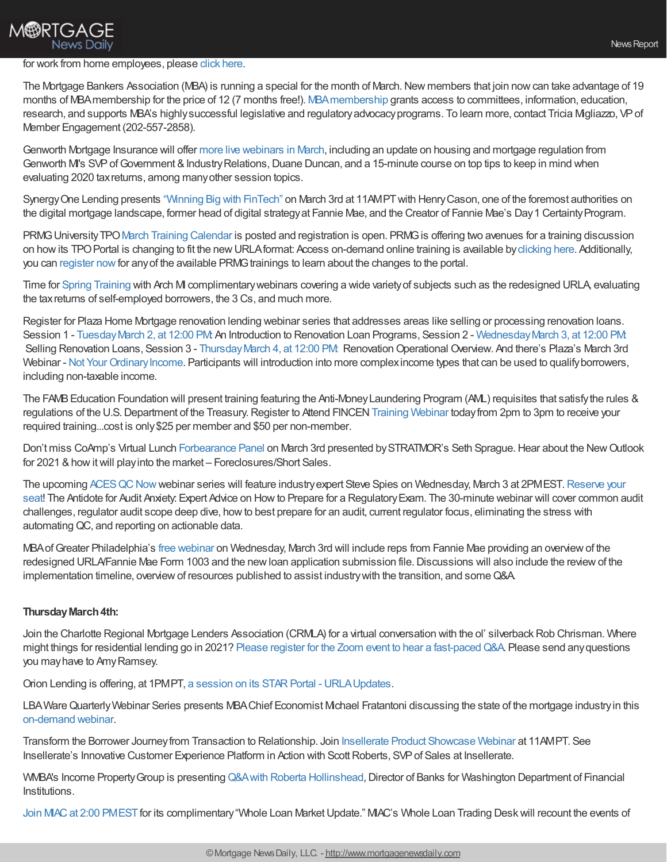## **M®RTGAGE** News Daily

#### for work from home employees, please click [here.](https://linktr.ee/dailymortgagenews)

The Mortgage Bankers Association (MBA) is running a special for the month of March. New members that join now can take advantage of 19 months of MBAmembership for the price of 12 (7 months free!). [MBAmembership](https://www.mba.org/get-involved/join-mba) grants access to committees, information, education, research, and supports MBA's highly successful legislative and regulatory advocacy programs. To learn more, contact Tricia Migliazzo, VP of Member Engagement (202-557-2858).

Genworth Mortgage Insurance will offer more live [webinars](https://new.mortgageinsurance.genworth.com/training-calendar?view=events&ym=202103&utm_medium=referral&utm_source=crisman&utm_campaign=webinar-calendar&utm_content=mar) in March, including an update on housing and mortgage regulation from Genworth M's SVP of Government & Industry Relations, Duane Duncan, and a 15-minute course on top tips to keep in mind when evaluating 2020 taxreturns, among manyother session topics.

SynergyOne Lending presents ["Winning](https://marketing.s1l.com/winning-big-with-fintech/) Big with FinTech" on March 3rd at 11AMPTwith HenryCason, one of the foremost authorities on the digital mortgage landscape, former head of digital strategy at Fannie Mae, and the Creator of Fannie Mae's Day 1 Certainty Program.

PRMG University TPO March Training [Calendar](https://eprmg.net/Training/Calendar/PRMGUniversityTPOMarchClassSchedule.pdf) is posted and registration is open. PRMG is offering two avenues for a training discussion on howits TPOPortal is changing to fit the newURLAformat: Access on-demand online training is available by[clicking](https://mx3.prmg.net/e/514781/Training-Videos-urlaTPO-html/4sjmwg/684872043?h=5p0rFeI0Zbgv1trMOnklGdL2wRWl0iao8XIl_dFBmXk) here. Additionally, you can [register](https://mx3.prmg.net/e/514781/rt-6728524481640073475/4sjmwj/684872043?h=5p0rFeI0Zbgv1trMOnklGdL2wRWl0iao8XIl_dFBmXk) now for any of the available PRMG trainings to learn about the changes to the portal.

Time for Spring [Training](https://events-na13.adobeconnect.com/content/connect/c1/2159008732/en/events/catalog.html?from-origin=archmi.adobeconnect.com) with Arch MI complimentarywebinars covering a wide varietyof subjects such as the redesigned URLA, evaluating the taxreturns of self-employed borrowers, the 3 Cs, and much more.

Register for Plaza Home Mortgage renovation lending webinar series that addresses areas like selling or processing renovation loans. Session 1 - Tuesday March 2, at 12:00 PM: An Introduction to Renovation Loan Programs, Session 2 - Wednesday March 3, at 12:00 PM: Selling Renovation Loans, Session 3 - Thursday March 4, at 12:00 PM: Renovation Operational Overview. And there's Plaza's March 3rd Webinar - Not Your Ordinary Income. Participants will introduction into more complexincome types that can be used to qualify borrowers, including non-taxable income.

The FAMBEducation Foundation will present training featuring the Anti-MoneyLaundering Program (AML) requisites that satisfythe rules & regulations of the U.S. Department of the Treasury. Register to Attend FINCEN Training [Webinar](https://www.fambfoundation.com/shop/p/k6vtyc6wsb96a6rjnkjjtbut607c5t) today from 2pm to 3pm to receive your required training...cost is only\$25 per member and \$50 per non-member.

Don't miss CoAmp's Virtual Lunch [Forbearance](http://coamp.wildapricot.org/event-4172382) Panel on March 3rd presented by STRATMOR's Seth Sprague. Hear about the New Outlook for 2021 & how it will play into the market – Foreclosures/Short Sales.

The upcoming ACES QC Now webinar series will feature industry expert Steve Spies on Wednesday, March 3 at 2PMEST. Reserve your seat! The Antidote for Audit Anxiety: Expert Advice on How to Prepare for a Regulatory Exam. The 30-minute webinar will cover common audit challenges, regulator audit scope deep dive, howto best prepare for an audit, current regulator focus, eliminating the stress with automating QC, and reporting on actionable data.

MBAofGreater Philadelphia's free [webinar](https://register.gotowebinar.com/register/2070500654753043211) on Wednesday, March 3rd will include reps from Fannie Mae providing an overviewof the redesigned URLA/Fannie Mae Form 1003 and the new loan application submission file. Discussions will also include the review of the implementation timeline, overview of resources published to assist industry with the transition, and some Q&A.

### **ThursdayMarch4th:**

Join the Charlotte Regional Mortgage Lenders Association (CRMLA) for a virtual conversation with the ol' silverback Rob Chrisman. Where might things for residential lending go in 2021? Please register for the Zoom event to hear a fast-paced Q&A. Please send any questions you mayhave to AmyRamsey.

Orion Lending is offering, at 1PMPT, a session on its STAR Portal - URLA Updates.

LBAWare Quarterly Webinar Series presents MBA Chief Economist Michael Fratantoni discussing the state of the mortgage industry in this [on-demand](https://email.lbaware.com/e2t/tc/MVs8vHNFybkW6_TkqT8Qq3LqW61z83B4n9cBRN8rPF4f5nxG7V3Zsc37CgJV7W1jHG5f7P5n-0W8sH5Q68k9VqNW3WB-Sy4dyrWyW2d5rMw2MWTjzW265Frb4tVFjYW8bqy3W7cBSd2W1zCMsT4Tgj6fN6V5FZ9rhxZwW6KhZwH2Q-PphN79WQrh4Gvn1W5FQWVg1blQrdW2HsW472pC0WhW6x2fpP5hCWz-W3SspbM7ZPgQpN3LVMFFtDFYVN1mqb9X2c86NN1M2yKQ-5-d3N298cG3T9k-_W1c4RCn1gYcKYW3PY1mL8MKV6jW63dwfb5jn2plW6Jv20p3ZbW2wVKs6H75xkzcXW2FTxww87Bc9GW1-DnSM5SRZYmW6lnhCl641W4bTjkz4713LTbW2QPmnp3TMZjDW45BffP89-hCBW8XW8q_8dQN32W5SYpNy2tvC9bW2p2y4N67m3-S3gV41) webinar.

Transform the Borrower Journeyfrom Transaction to Relationship. Join Insellerate Product [Showcase](https://attendee.gotowebinar.com/register/7674963210023676941?source=Referrals) Webinar at 11AMPT. See Insellerate's Innovative Customer Experience Platform in Action with Scott Roberts, SVP of Sales at Insellerate.

WMBA's Income Property Group is presenting Q&A with Roberta [Hollinshead,](https://events.r20.constantcontact.com/register/eventReg?oeidk=a07ehlztx0sef6ff225&oseq=&c=&ch=) Director of Banks for Washington Department of Financial Institutions.

Join MIAC at 2:00 [PMEST](https://attendee.gotowebinar.com/register/127403024434442251?source=blog) for its complimentary "Whole Loan Market Update." MIAC's Whole Loan Trading Desk will recount the events of